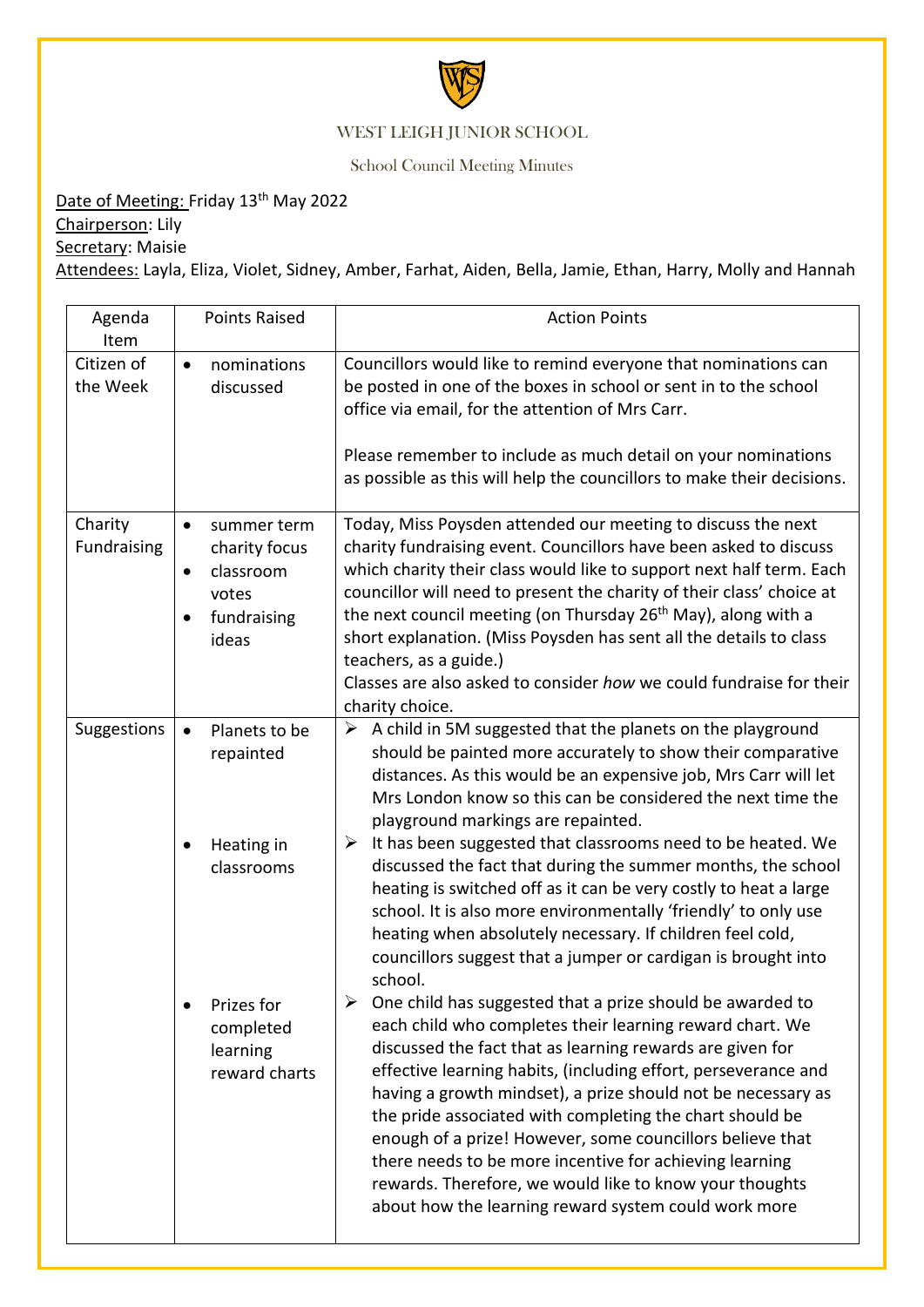

## WEST LEIGH JUNIOR SCHOOL

School Council Meeting Minutes

Date of Meeting: Friday 13<sup>th</sup> May 2022

Chairperson: Lily

Secretary: Maisie

Attendees: Layla, Eliza, Violet, Sidney, Amber, Farhat, Aiden, Bella, Jamie, Ethan, Harry, Molly and Hannah

| Agenda<br>Item         | <b>Points Raised</b>                                                                         | <b>Action Points</b>                                                                                                                                                                                                                                                                                                                                                                                                                                                                                                                                                                                                        |
|------------------------|----------------------------------------------------------------------------------------------|-----------------------------------------------------------------------------------------------------------------------------------------------------------------------------------------------------------------------------------------------------------------------------------------------------------------------------------------------------------------------------------------------------------------------------------------------------------------------------------------------------------------------------------------------------------------------------------------------------------------------------|
| Citizen of<br>the Week | nominations<br>$\bullet$<br>discussed                                                        | Councillors would like to remind everyone that nominations can<br>be posted in one of the boxes in school or sent in to the school<br>office via email, for the attention of Mrs Carr.                                                                                                                                                                                                                                                                                                                                                                                                                                      |
|                        |                                                                                              | Please remember to include as much detail on your nominations<br>as possible as this will help the councillors to make their decisions.                                                                                                                                                                                                                                                                                                                                                                                                                                                                                     |
| Charity<br>Fundraising | summer term<br>$\bullet$<br>charity focus<br>classroom<br>٠<br>votes<br>fundraising<br>ideas | Today, Miss Poysden attended our meeting to discuss the next<br>charity fundraising event. Councillors have been asked to discuss<br>which charity their class would like to support next half term. Each<br>councillor will need to present the charity of their class' choice at<br>the next council meeting (on Thursday 26 <sup>th</sup> May), along with a<br>short explanation. (Miss Poysden has sent all the details to class<br>teachers, as a guide.)<br>Classes are also asked to consider how we could fundraise for their<br>charity choice.                                                                   |
| Suggestions            | Planets to be<br>$\bullet$<br>repainted                                                      | $\triangleright$ A child in 5M suggested that the planets on the playground<br>should be painted more accurately to show their comparative<br>distances. As this would be an expensive job, Mrs Carr will let<br>Mrs London know so this can be considered the next time the<br>playground markings are repainted.                                                                                                                                                                                                                                                                                                          |
|                        | Heating in<br>classrooms                                                                     | $\triangleright$ It has been suggested that classrooms need to be heated. We<br>discussed the fact that during the summer months, the school<br>heating is switched off as it can be very costly to heat a large<br>school. It is also more environmentally 'friendly' to only use<br>heating when absolutely necessary. If children feel cold,<br>councillors suggest that a jumper or cardigan is brought into<br>school.                                                                                                                                                                                                 |
|                        | Prizes for<br>completed<br>learning<br>reward charts                                         | One child has suggested that a prize should be awarded to<br>each child who completes their learning reward chart. We<br>discussed the fact that as learning rewards are given for<br>effective learning habits, (including effort, perseverance and<br>having a growth mindset), a prize should not be necessary as<br>the pride associated with completing the chart should be<br>enough of a prize! However, some councillors believe that<br>there needs to be more incentive for achieving learning<br>rewards. Therefore, we would like to know your thoughts<br>about how the learning reward system could work more |